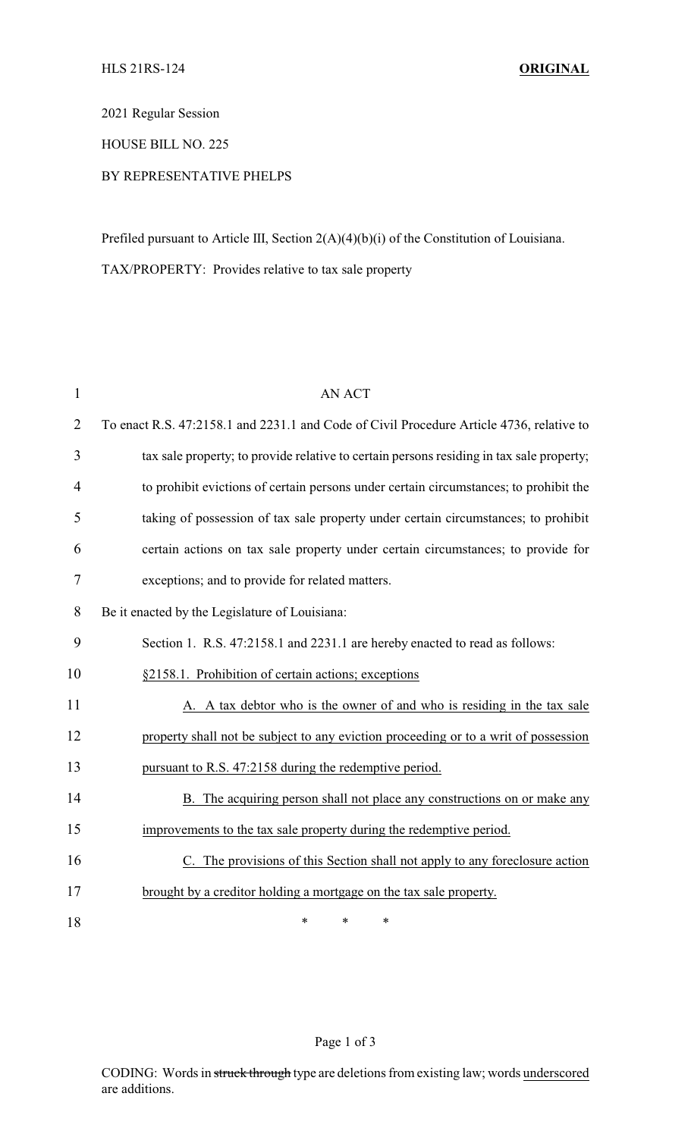2021 Regular Session

HOUSE BILL NO. 225

## BY REPRESENTATIVE PHELPS

Prefiled pursuant to Article III, Section 2(A)(4)(b)(i) of the Constitution of Louisiana. TAX/PROPERTY: Provides relative to tax sale property

| $\mathbf{1}$   | <b>AN ACT</b>                                                                            |
|----------------|------------------------------------------------------------------------------------------|
| $\overline{2}$ | To enact R.S. 47:2158.1 and 2231.1 and Code of Civil Procedure Article 4736, relative to |
| 3              | tax sale property; to provide relative to certain persons residing in tax sale property; |
| $\overline{4}$ | to prohibit evictions of certain persons under certain circumstances; to prohibit the    |
| 5              | taking of possession of tax sale property under certain circumstances; to prohibit       |
| 6              | certain actions on tax sale property under certain circumstances; to provide for         |
| $\tau$         | exceptions; and to provide for related matters.                                          |
| 8              | Be it enacted by the Legislature of Louisiana:                                           |
| 9              | Section 1. R.S. 47:2158.1 and 2231.1 are hereby enacted to read as follows:              |
| 10             | §2158.1. Prohibition of certain actions; exceptions                                      |
| 11             | A. A tax debtor who is the owner of and who is residing in the tax sale                  |
| 12             | property shall not be subject to any eviction proceeding or to a writ of possession      |
| 13             | pursuant to R.S. 47:2158 during the redemptive period.                                   |
| 14             | B. The acquiring person shall not place any constructions on or make any                 |
| 15             | improvements to the tax sale property during the redemptive period.                      |
| 16             | C. The provisions of this Section shall not apply to any foreclosure action              |
| 17             | brought by a creditor holding a mortgage on the tax sale property.                       |
| 18             | *<br>$\ast$<br>*                                                                         |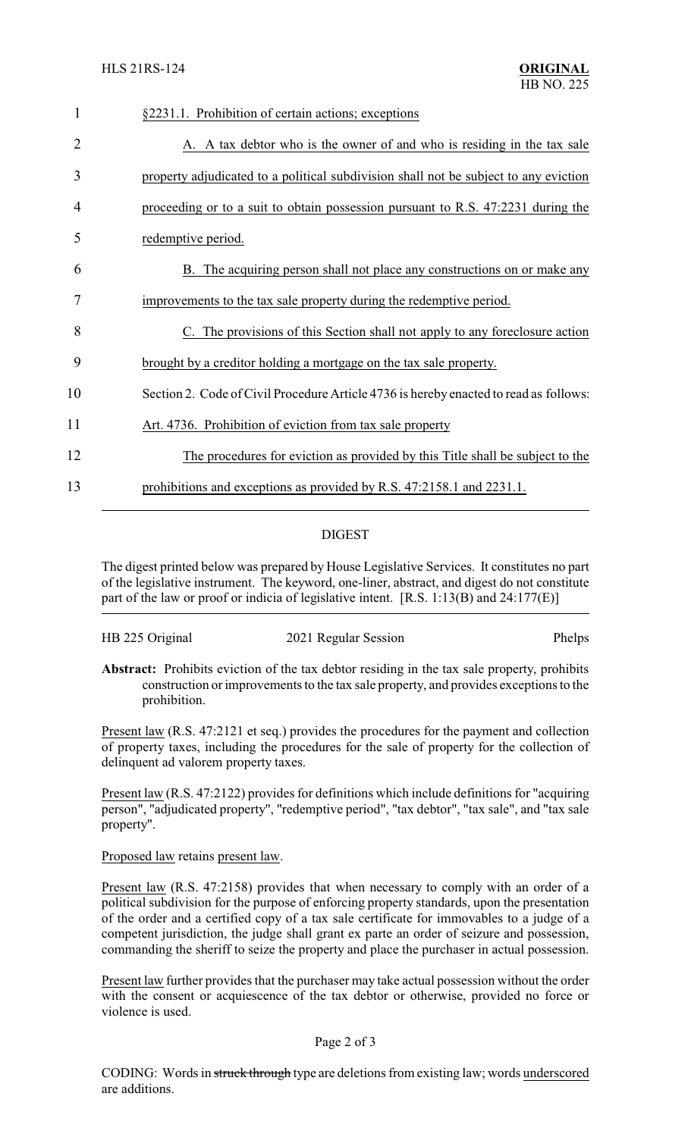| $\mathbf{1}$ | §2231.1. Prohibition of certain actions; exceptions                                   |
|--------------|---------------------------------------------------------------------------------------|
| 2            | A. A tax debtor who is the owner of and who is residing in the tax sale               |
| 3            | property adjudicated to a political subdivision shall not be subject to any eviction  |
| 4            | proceeding or to a suit to obtain possession pursuant to R.S. 47:2231 during the      |
| 5            | redemptive period.                                                                    |
| 6            | B. The acquiring person shall not place any constructions on or make any              |
| 7            | improvements to the tax sale property during the redemptive period.                   |
| 8            | C. The provisions of this Section shall not apply to any foreclosure action           |
| 9            | brought by a creditor holding a mortgage on the tax sale property.                    |
| 10           | Section 2. Code of Civil Procedure Article 4736 is hereby enacted to read as follows: |
| 11           | Art. 4736. Prohibition of eviction from tax sale property                             |
| 12           | The procedures for eviction as provided by this Title shall be subject to the         |
| 13           | prohibitions and exceptions as provided by R.S. 47:2158.1 and 2231.1.                 |
|              |                                                                                       |

## DIGEST

The digest printed below was prepared by House Legislative Services. It constitutes no part of the legislative instrument. The keyword, one-liner, abstract, and digest do not constitute part of the law or proof or indicia of legislative intent. [R.S. 1:13(B) and 24:177(E)]

| HB 225 Original | 2021 Regular Session | Phelps |
|-----------------|----------------------|--------|
|                 |                      |        |

**Abstract:** Prohibits eviction of the tax debtor residing in the tax sale property, prohibits construction or improvements to the tax sale property, and provides exceptions to the prohibition.

Present law (R.S. 47:2121 et seq.) provides the procedures for the payment and collection of property taxes, including the procedures for the sale of property for the collection of delinquent ad valorem property taxes.

Present law (R.S. 47:2122) provides for definitions which include definitions for "acquiring person", "adjudicated property", "redemptive period", "tax debtor", "tax sale", and "tax sale property".

Proposed law retains present law.

Present law (R.S. 47:2158) provides that when necessary to comply with an order of a political subdivision for the purpose of enforcing property standards, upon the presentation of the order and a certified copy of a tax sale certificate for immovables to a judge of a competent jurisdiction, the judge shall grant ex parte an order of seizure and possession, commanding the sheriff to seize the property and place the purchaser in actual possession.

Present law further provides that the purchaser may take actual possession without the order with the consent or acquiescence of the tax debtor or otherwise, provided no force or violence is used.